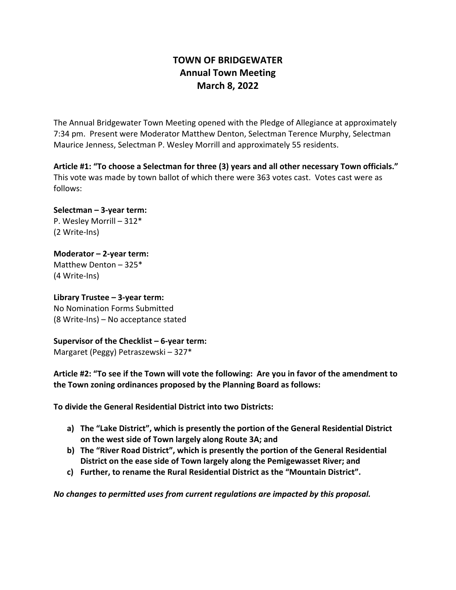## **TOWN OF BRIDGEWATER Annual Town Meeting March 8, 2022**

The Annual Bridgewater Town Meeting opened with the Pledge of Allegiance at approximately 7:34 pm. Present were Moderator Matthew Denton, Selectman Terence Murphy, Selectman Maurice Jenness, Selectman P. Wesley Morrill and approximately 55 residents.

**Article #1: "To choose a Selectman for three (3) years and all other necessary Town officials."**  This vote was made by town ballot of which there were 363 votes cast. Votes cast were as follows:

**Selectman – 3‐year term:** P. Wesley Morrill – 312\* (2 Write‐Ins)

**Moderator – 2‐year term:** Matthew Denton – 325\* (4 Write‐Ins)

**Library Trustee – 3‐year term:** No Nomination Forms Submitted (8 Write‐Ins) – No acceptance stated

**Supervisor of the Checklist – 6‐year term:** Margaret (Peggy) Petraszewski – 327\*

Article #2: "To see if the Town will vote the following: Are you in favor of the amendment to **the Town zoning ordinances proposed by the Planning Board as follows:**

**To divide the General Residential District into two Districts:**

- **a) The "Lake District", which is presently the portion of the General Residential District on the west side of Town largely along Route 3A; and**
- **b) The "River Road District", which is presently the portion of the General Residential District on the ease side of Town largely along the Pemigewasset River; and**
- **c) Further, to rename the Rural Residential District as the "Mountain District".**

*No changes to permitted uses from current regulations are impacted by this proposal.*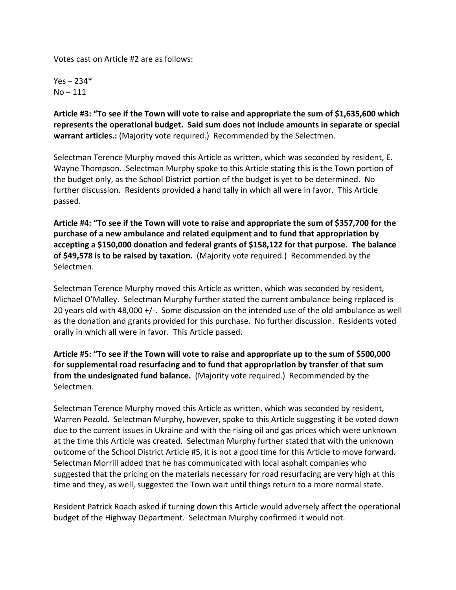Votes cast on Article #2 are as follows:

 $Yes - 234*$  $No - 111$ 

**Article #3: "To see if the Town will vote to raise and appropriate the sum of \$1,635,600 which represents the operational budget. Said sum does not include amounts in separate or special warrant articles.:** (Majority vote required.) Recommended by the Selectmen.

Selectman Terence Murphy moved this Article as written, which was seconded by resident, E. Wayne Thompson. Selectman Murphy spoke to this Article stating this is the Town portion of the budget only, as the School District portion of the budget is yet to be determined. No further discussion. Residents provided a hand tally in which all were in favor. This Article passed.

Article #4: "To see if the Town will vote to raise and appropriate the sum of \$357,700 for the **purchase of a new ambulance and related equipment and to fund that appropriation by accepting a \$150,000 donation and federal grants of \$158,122 for that purpose. The balance of \$49,578 is to be raised by taxation.** (Majority vote required.) Recommended by the Selectmen.

Selectman Terence Murphy moved this Article as written, which was seconded by resident, Michael O'Malley. Selectman Murphy further stated the current ambulance being replaced is 20 years old with 48,000 +/‐. Some discussion on the intended use of the old ambulance as well as the donation and grants provided for this purchase. No further discussion. Residents voted orally in which all were in favor. This Article passed.

Article #5: "To see if the Town will vote to raise and appropriate up to the sum of \$500,000 **for supplemental road resurfacing and to fund that appropriation by transfer of that sum from the undesignated fund balance.** (Majority vote required.) Recommended by the Selectmen.

Selectman Terence Murphy moved this Article as written, which was seconded by resident, Warren Pezold. Selectman Murphy, however, spoke to this Article suggesting it be voted down due to the current issues in Ukraine and with the rising oil and gas prices which were unknown at the time this Article was created. Selectman Murphy further stated that with the unknown outcome of the School District Article #5, it is not a good time for this Article to move forward. Selectman Morrill added that he has communicated with local asphalt companies who suggested that the pricing on the materials necessary for road resurfacing are very high at this time and they, as well, suggested the Town wait until things return to a more normal state.

Resident Patrick Roach asked if turning down this Article would adversely affect the operational budget of the Highway Department. Selectman Murphy confirmed it would not.